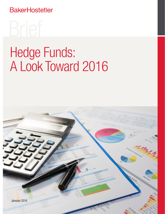**BakerHostetler** 

# Hedge Funds: A Look Toward 2016

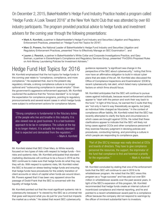On December 2, 2015, BakerHostetler's Hedge Fund Industry Practice hosted a program called "Hedge Funds: A Look Toward 2016" at the New York Yacht Club that was attended by over 60 industry participants. The program provided practical advice to hedge funds and investment advisers for the coming year through the following presentations:

- Mark A. Kornfeld, a partner in BakerHostetler's Hedge Fund Industry and Securities Litigation and Regulatory Enforcement Practices, presented on "Hedge Fund Hot Topics for 2016";
- Marc D. Powers, the National Leader of BakerHostetler's Hedge Fund Industry and Securities Litigation and Regulatory Enforcement Practices, presented "How to Effectively Manage an SEC Examination"; and
- Lauren J. Resnick, a partner in BakerHostetler's White Collar and Corporate Investigations Practice, and Gary Swiman, a partner in EisnerAmper's Compliance and Regulatory Services Group, presented "FinCEN's Proposed Rules on Anti-Money Laundering Policies for Investment Advisers."

## Hedge Fund Hot Topics for 2016

Mr. Kornfeld emphasized that the hot topics for hedge funds in the coming year relate to "compliance, compliance, and more compliance." He explained that, due to the present-day regulatory climate, a strong compliance culture is no longer optional and "outsourcing compliance is caveat emptor." Given the government's aggressive enforcement approach, Mr. Kornfeld cautioned the audience that the "bronze standard" is no longer the expectation for compliance programs, pointing to regulatory pronouncements and several recent cases in which hedge funds were subject to enforcement actions for compliance failures.

"Strong compliance is fundamental to the fiduciary duties of the people who live and breathe in this industry. It is also viewed now as good business. It is a bad business approach to be lax in compliance. The culture at the top is no longer rhetoric. It is actually the industry standard that is expected and demanded from the regulators." – Mark A. Kornfeld

Mr. Kornfeld stated that SEC Chair Mary Jo White recently focused on two types of risks with respect to hedge funds – firm risks and systemic risks. Mr. Kornfeld anticipated that standard marketing disclosures will continue to be a focus in 2016 as the SEC continues to make sure that hedge funds do what they say they will do. With respect to systemic risks, Mr. Kornfeld noted the SEC is focused on stress-testing hedge funds and ensuring that hedge funds have procedures for the orderly transition of client accounts or return of capital when funds are wound down. Mr. Powers agreed that it has been very apparent since the passage of Dodd-Frank that the SEC is concerned with the liquidity of hedge funds.

Mr. Kornfeld pointed out that the most significant systemic risk is cybersecurity because it "is viewed by the SEC as a universal risk that goes well beyond what you do just for your fund but impacts the market as a whole." He stated that recent SEC cybersecurity

guidance represents "a significant sea change in the perspective of the SEC about cybersecurity," noting that firms now have an affirmative obligation to build in robust cyber plans that are state of the art. Mr. Kornfeld also discussed the Office of Compliance Inspections and Examinations' (OCIE's) recent cybersecurity risk alert, which listed many cybersecurity factors on which firms should focus.

Mr. Kornfeld anticipates that the SEC will continue to pursue cases against individuals, because recent enforcement actions appear to "start with the person and work their way back to the fund." In light of this focus, he warned the C-suite that they are "not only in harm's way theoretically as agents, but [also] as individual folks charged as fiduciaries." In the context of compliance officer liability, Mr. Kornfeld noted that the SEC has recently attempted to clarify the facts and circumstances in which cases are brought against CCOs. He noted that these clarifications appear to indicate that the SEC will likely not bring cases against CCOs and other compliance personnel if they exercise fiduciary judgment in devising policies and procedures, conducting training, and promoting a culture in which people are responding to compliance gaps.

"Part of [the SEC's] message was really directed at CEOs and boards of directors. They have to give compliance personnel the resources, the support, the imprimatur of the fund that compliance is first and foremost a priority for the organization." – The Mark A. Kornfeld

Mr. Kornfeld concluded by stating that one of the enforcement tools that the SEC will continue to use in 2016 is its whistleblower program. He noted that the SEC views this program as a "huge success" and has paid out over \$54 million in whistleblower awards over the past several years. In light of the SEC's expansion of this program, Mr. Kornfeld recommended that hedge funds create an internal culture of incentivized compliance and internal reporting, and he and pointed to a recent whistleblower award paid to a compliance officer because the company did not respond to warnings by the officer of imminent substantial harm to investors.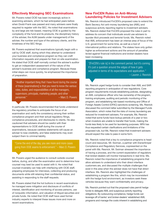#### Effectively Managing SEC Examinations

Mr. Powers noted OCIE has been increasingly active in examining advisers, which he had anticipated years before when Dodd-Frank was passed and many advisers were finally required to register with the SEC. He noted that examinations by and large are risk-based, meaning OCIE is guided by the complexity of the fund and its products, the disciplinary history of the adviser, the AUM (assets under management) of the adviser, the number and type of the advisory clients, and the timeliness of the SEC filings.

Mr. Powers explained that examinations typically begin with a call by OCIE staff, during which they attempt to understand your business and compliance program so they can craft information requests and prepare for their on-site examination. He stated that OCIE staff normally contact the adviser's auditor to get an independent assessment of the nature of the adviser's business and compliance program. Because these initial steps can move quickly, he emphasized the importance of preparation.

"Another important thing that I have found during the course of these [examinations] is that you need to know the various roles, duties, and responsibilities of all the managers, supervisors, principals, marketing people, and other personnel." – Marc D. Powers

In particular, Mr. Powers recommended that funds understand the regulatory priorities to anticipate the focus of an examination and verify the consistency among their written compliance program and their actual regulatory filings, compliance procedures, and disclosures to clients. He also cautioned that advisers should be careful with their representations to OCIE staff during the course of examinations, because careless statements will cause an adviser to lose credibility, and false statements may even subject them to criminal liability.

"Come the end of the day, you see more and more cases going from OCIE exams to enforcement." – Marc D. Powers

Mr. Powers urged the audience to consult outside counsel before, during, and after the examination and to determine how counsel may best be used to assist with it. He noted that counsel invariably can help with interfacing with OCIE staff, preparing employees for interviews, collecting and producing documents while still retaining their confidential status, and assisting in responding to the staff requests.

Mr. Powers stated that the hot buttons in recent examinations he managed were mitigation and disclosure of conflicts of interest, identification and monitoring of access persons, use of nonpublic information, and valuation of illiquid securities and private funds. He noted that OCIE staff have used former industry experts to interpret these issues more and more on recent examinations.

#### New FinCEN Rules on Anti-Money Laundering Policies for Investment Advisers

Ms. Resnick introduced FinCEN's proposed rules to extend the Bank Secrecy Act anti-money laundering law (AML) and suspicious activity reporting regime to investment advisers. Ms. Resnick stated that FinCEN proposed the rules in part to address its concern that individuals would use advisers to launder illicit proceeds and terrorist funds. Ms. Resnick noted that AML enforcement has been an intense area of focus of the U.S. government for some time, as well as a tool of international politics and relations. The stakes have only gotten higher as enforcement actions and the amount of penalties levied against financial institutions and broker-dealers have been increasing.

"[FinCEN's rule is] in the comment period, but it's coming. It's just a question around the edges of how it gets adjusted in terms of its expectations and application." – Lauren J. Resnick

Ms. Resnick urged hedge funds to consider their AML and SAR reporting programs in anticipation of new regulations. Core program requirements include establishing policies, designating an AML compliance officer who has ownership of the program, training employees, auditing and periodic monitoring of the program, and establishing risk-based monitoring and Office of Foreign Assets Control (OFAC) sanctions screening. Ms. Resnick discussed the comment letter submitted by the Managed Funds Association, which notes that the risks of money laundering are reduced for investment advisers. For example, Ms. Resnick noted that some funds have lockup periods of a year or two when investors are unable to transfer their funds, making the funds less likely to be used for laundering purposes. MFA has thus requested certain clarifications and limitations of the proposed rule, but Ms. Resnick noted that investment advisers should expect the rules to pass in some form.

Ms. Resnick noted that a key to compliance programs is head count and resources. Mr. Swiman, a partner with EisnerAmper Compliance and Regulatory Services, copresented on the panel with Ms. Resnick. Mr. Swiman stressed the importance of having a process, and the current expectation of regulators that broker-dealers will monitor transactions in real time. Ms. Resnick noted the importance of establishing programs that allow advisers to understand who their direct interface customers are, and discussed the multiple challenges that exist in this area when the adviser does not have that direct interface. Ms. Resnick also highlighted the challenges of establishing a program like this, which may be inconsistent with the hedge fund environment, as investors seek these vehicles because they want confidentiality and privacy.

Ms. Resnick pointed out that the proposed rules permit hedge funds to delegate AML and suspicious activity reporting obligations. By outsourcing compliance, hedge funds can leverage off of banks' and broker-dealers' established AML programs and manage the costs inherent in establishing and